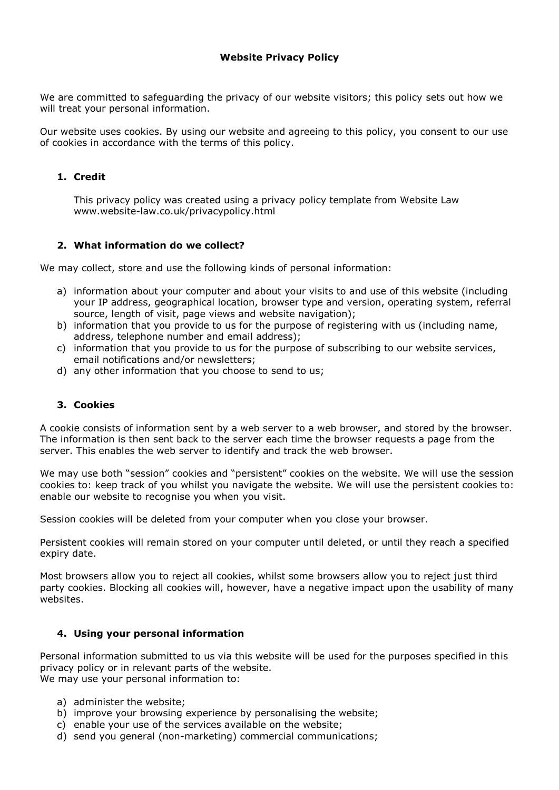## **Website Privacy Policy**

We are committed to safeguarding the privacy of our website visitors; this policy sets out how we will treat your personal information.

Our website uses cookies. By using our website and agreeing to this policy, you consent to our use of cookies in accordance with the terms of this policy.

#### **1. Credit**

This privacy policy was created using a privacy policy template from Website Law www.website-law.co.uk/privacypolicy.html

### **2. What information do we collect?**

We may collect, store and use the following kinds of personal information:

- a) information about your computer and about your visits to and use of this website (including your IP address, geographical location, browser type and version, operating system, referral source, length of visit, page views and website navigation);
- b) information that you provide to us for the purpose of registering with us (including name, address, telephone number and email address);
- c) information that you provide to us for the purpose of subscribing to our website services, email notifications and/or newsletters;
- d) any other information that you choose to send to us;

## **3. Cookies**

A cookie consists of information sent by a web server to a web browser, and stored by the browser. The information is then sent back to the server each time the browser requests a page from the server. This enables the web server to identify and track the web browser.

We may use both "session" cookies and "persistent" cookies on the website. We will use the session cookies to: keep track of you whilst you navigate the website. We will use the persistent cookies to: enable our website to recognise you when you visit.

Session cookies will be deleted from your computer when you close your browser.

Persistent cookies will remain stored on your computer until deleted, or until they reach a specified expiry date.

Most browsers allow you to reject all cookies, whilst some browsers allow you to reject just third party cookies. Blocking all cookies will, however, have a negative impact upon the usability of many websites.

#### **4. Using your personal information**

Personal information submitted to us via this website will be used for the purposes specified in this privacy policy or in relevant parts of the website. We may use your personal information to:

- a) administer the website;
- b) improve your browsing experience by personalising the website;
- c) enable your use of the services available on the website;
- d) send you general (non-marketing) commercial communications;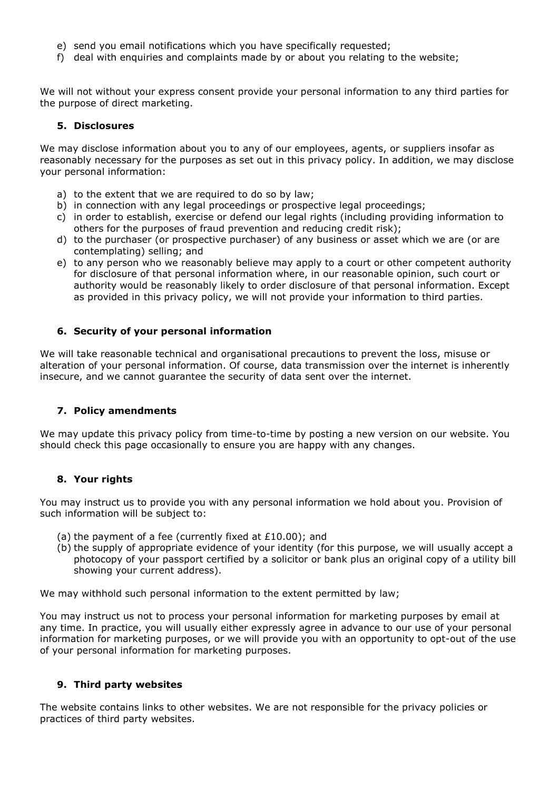- e) send you email notifications which you have specifically requested;
- f) deal with enquiries and complaints made by or about you relating to the website;

We will not without your express consent provide your personal information to any third parties for the purpose of direct marketing.

#### **5. Disclosures**

We may disclose information about you to any of our employees, agents, or suppliers insofar as reasonably necessary for the purposes as set out in this privacy policy. In addition, we may disclose your personal information:

- a) to the extent that we are required to do so by law;
- b) in connection with any legal proceedings or prospective legal proceedings;
- c) in order to establish, exercise or defend our legal rights (including providing information to others for the purposes of fraud prevention and reducing credit risk);
- d) to the purchaser (or prospective purchaser) of any business or asset which we are (or are contemplating) selling; and
- e) to any person who we reasonably believe may apply to a court or other competent authority for disclosure of that personal information where, in our reasonable opinion, such court or authority would be reasonably likely to order disclosure of that personal information. Except as provided in this privacy policy, we will not provide your information to third parties.

#### **6. Security of your personal information**

We will take reasonable technical and organisational precautions to prevent the loss, misuse or alteration of your personal information. Of course, data transmission over the internet is inherently insecure, and we cannot guarantee the security of data sent over the internet.

#### **7. Policy amendments**

We may update this privacy policy from time-to-time by posting a new version on our website. You should check this page occasionally to ensure you are happy with any changes.

#### **8. Your rights**

You may instruct us to provide you with any personal information we hold about you. Provision of such information will be subject to:

- (a) the payment of a fee (currently fixed at  $£10.00$ ); and
- (b) the supply of appropriate evidence of your identity (for this purpose, we will usually accept a photocopy of your passport certified by a solicitor or bank plus an original copy of a utility bill showing your current address).

We may withhold such personal information to the extent permitted by law;

You may instruct us not to process your personal information for marketing purposes by email at any time. In practice, you will usually either expressly agree in advance to our use of your personal information for marketing purposes, or we will provide you with an opportunity to opt-out of the use of your personal information for marketing purposes.

#### **9. Third party websites**

The website contains links to other websites. We are not responsible for the privacy policies or practices of third party websites.